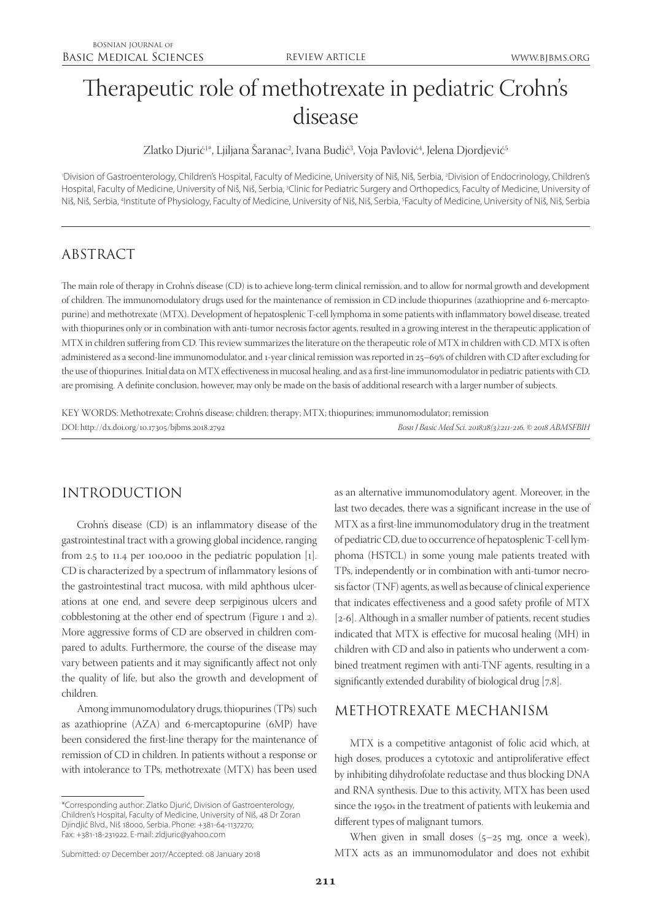# Therapeutic role of methotrexate in pediatric Crohn's disease

Zlatko Djurić<sup>1</sup>\*, Ljiljana Saranac<sup>2</sup>, Ivana Budić<sup>3</sup>, Voja Pavlović<sup>4</sup>, Jelena Djordjević<sup>5</sup>

'Division of Gastroenterology, Children's Hospital, Faculty of Medicine, University of Niš, Niš, Serbia, <sup>2</sup>Division of Endocrinology, Children's Hospital, Faculty of Medicine, University of Niš, Niš, Serbia, <sup>3</sup>Clinic for Pediatric Surgery and Orthopedics, Faculty of Medicine, University of Niš, Niš, Serbia, 4 Institute of Physiology, Faculty of Medicine, University of Niš, Niš, Serbia, 5 Faculty of Medicine, University of Niš, Niš, Serbia

# ABSTRACT

The main role of therapy in Crohn's disease (CD) is to achieve long-term clinical remission, and to allow for normal growth and development of children. The immunomodulatory drugs used for the maintenance of remission in CD include thiopurines (azathioprine and 6-mercaptopurine) and methotrexate (MTX). Development of hepatosplenic T-cell lymphoma in some patients with inflammatory bowel disease, treated with thiopurines only or in combination with anti-tumor necrosis factor agents, resulted in a growing interest in the therapeutic application of MTX in children suffering from CD. This review summarizes the literature on the therapeutic role of MTX in children with CD. MTX is often administered as a second-line immunomodulator, and 1-year clinical remission was reported in 25–69% of children with CD after excluding for the use of thiopurines. Initial data on MTX effectiveness in mucosal healing, and as a first-line immunomodulator in pediatric patients with CD, are promising. A definite conclusion, however, may only be made on the basis of additional research with a larger number of subjects.

KEY WORDS: Methotrexate; Crohn's disease; children; therapy; MTX; thiopurines; immunomodulator; remission DOI: http://dx.doi.org/10.17305/bjbms.2018.2792 *Bosn J Basic Med Sci. 2018;18(3):211-216. © 2018 ABMSFBIH*

# INTRODUCTION

Crohn's disease (CD) is an inflammatory disease of the gastrointestinal tract with a growing global incidence, ranging from 2.5 to 11.4 per 100,000 in the pediatric population [1]. CD is characterized by a spectrum of inflammatory lesions of the gastrointestinal tract mucosa, with mild aphthous ulcerations at one end, and severe deep serpiginous ulcers and cobblestoning at the other end of spectrum (Figure 1 and 2). More aggressive forms of CD are observed in children compared to adults. Furthermore, the course of the disease may vary between patients and it may significantly affect not only the quality of life, but also the growth and development of children.

Among immunomodulatory drugs, thiopurines (TPs) such as azathioprine (AZA) and 6-mercaptopurine (6MP) have been considered the first-line therapy for the maintenance of remission of CD in children. In patients without a response or with intolerance to TPs, methotrexate (MTX) has been used

as an alternative immunomodulatory agent. Moreover, in the last two decades, there was a significant increase in the use of MTX as a first-line immunomodulatory drug in the treatment of pediatric CD, due to occurrence of hepatosplenic T-cell lymphoma (HSTCL) in some young male patients treated with TPs, independently or in combination with anti-tumor necrosis factor (TNF) agents, as well as because of clinical experience that indicates effectiveness and a good safety profile of MTX [2-6]. Although in a smaller number of patients, recent studies indicated that MTX is effective for mucosal healing (MH) in children with CD and also in patients who underwent a combined treatment regimen with anti-TNF agents, resulting in a significantly extended durability of biological drug [7,8].

### METHOTREXATE MECHANISM

MTX is a competitive antagonist of folic acid which, at high doses, produces a cytotoxic and antiproliferative effect by inhibiting dihydrofolate reductase and thus blocking DNA and RNA synthesis. Due to this activity, MTX has been used since the 1950s in the treatment of patients with leukemia and different types of malignant tumors.

When given in small doses  $(5-25 \text{ mg})$ , once a week), MTX acts as an immunomodulator and does not exhibit

<sup>\*</sup>Corresponding author: Zlatko Djurić, Division of Gastroenterology, Children's Hospital, Faculty of Medicine, University of Niš, 48 Dr Zoran Djindjić Blvd., Niš 18000, Serbia. Phone: +381-64-1137270; Fax: +381-18-231922. E-mail: zldjuric@yahoo.com

Submitted: 07 December 2017/Accepted: 08 January 2018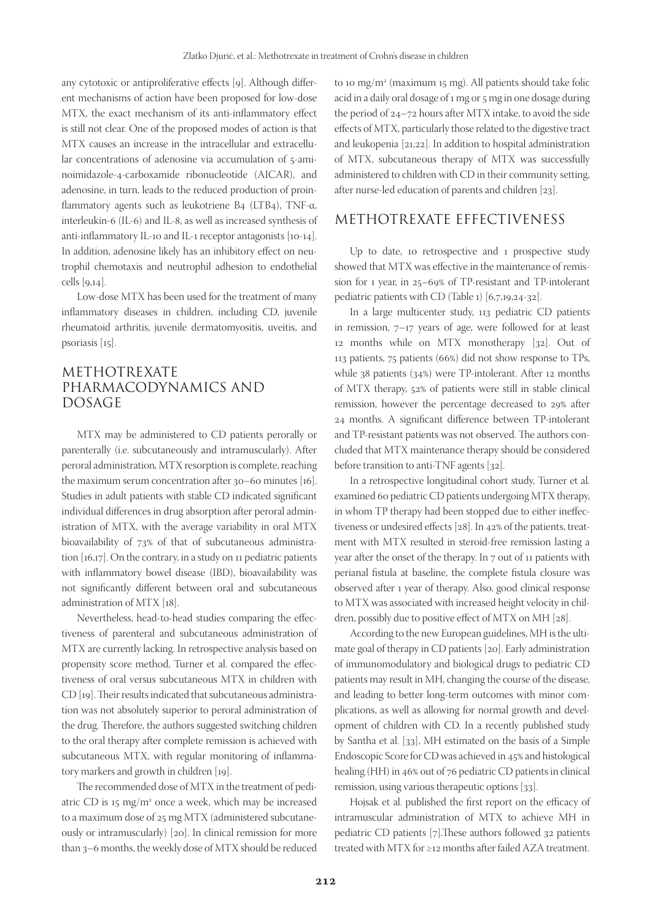any cytotoxic or antiproliferative effects [9]. Although different mechanisms of action have been proposed for low-dose MTX, the exact mechanism of its anti-inflammatory effect is still not clear. One of the proposed modes of action is that MTX causes an increase in the intracellular and extracellular concentrations of adenosine via accumulation of 5-aminoimidazole-4-carboxamide ribonucleotide (AICAR), and adenosine, in turn, leads to the reduced production of proinflammatory agents such as leukotriene B4 (LTB4), TNF-α, interleukin-6 (IL-6) and IL-8, as well as increased synthesis of anti-inflammatory IL-10 and IL-1 receptor antagonists [10-14]. In addition, adenosine likely has an inhibitory effect on neutrophil chemotaxis and neutrophil adhesion to endothelial cells [9,14].

Low-dose MTX has been used for the treatment of many inflammatory diseases in children, including CD, juvenile rheumatoid arthritis, juvenile dermatomyositis, uveitis, and psoriasis [15].

# METHOTREXATE PHARMACODYNAMICS AND DOSAGE

MTX may be administered to CD patients perorally or parenterally (i.e. subcutaneously and intramuscularly). After peroral administration, MTX resorption is complete, reaching the maximum serum concentration after 30–60 minutes [16]. Studies in adult patients with stable CD indicated significant individual differences in drug absorption after peroral administration of MTX, with the average variability in oral MTX bioavailability of 73% of that of subcutaneous administration [16,17]. On the contrary, in a study on 11 pediatric patients with inflammatory bowel disease (IBD), bioavailability was not significantly different between oral and subcutaneous administration of MTX [18].

Nevertheless, head-to-head studies comparing the effectiveness of parenteral and subcutaneous administration of MTX are currently lacking. In retrospective analysis based on propensity score method, Turner et al. compared the effectiveness of oral versus subcutaneous MTX in children with CD [19]. Their results indicated that subcutaneous administration was not absolutely superior to peroral administration of the drug. Therefore, the authors suggested switching children to the oral therapy after complete remission is achieved with subcutaneous MTX, with regular monitoring of inflammatory markers and growth in children [19].

The recommended dose of MTX in the treatment of pediatric CD is 15 mg/m2 once a week, which may be increased to a maximum dose of 25 mg MTX (administered subcutaneously or intramuscularly) [20]. In clinical remission for more than 3–6 months, the weekly dose of MTX should be reduced

to 10 mg/m2 (maximum 15 mg). All patients should take folic acid in a daily oral dosage of 1 mg or 5 mg in one dosage during the period of 24–72 hours after MTX intake, to avoid the side effects of MTX, particularly those related to the digestive tract and leukopenia [21,22]. In addition to hospital administration of MTX, subcutaneous therapy of MTX was successfully administered to children with CD in their community setting, after nurse-led education of parents and children [23].

## METHOTREXATE EFFECTIVENESS

Up to date, 10 retrospective and 1 prospective study showed that MTX was effective in the maintenance of remission for 1 year, in 25–69% of TP-resistant and TP-intolerant pediatric patients with CD (Table 1) [6,7,19,24-32].

In a large multicenter study, 113 pediatric CD patients in remission, 7–17 years of age, were followed for at least 12 months while on MTX monotherapy [32]. Out of 113 patients, 75 patients (66%) did not show response to TPs, while 38 patients (34%) were TP-intolerant. After 12 months of MTX therapy, 52% of patients were still in stable clinical remission, however the percentage decreased to 29% after 24 months. A significant difference between TP-intolerant and TP-resistant patients was not observed. The authors concluded that MTX maintenance therapy should be considered before transition to anti-TNF agents [32].

In a retrospective longitudinal cohort study, Turner et al*.* examined 60 pediatric CD patients undergoing MTX therapy, in whom TP therapy had been stopped due to either ineffectiveness or undesired effects [28]. In 42% of the patients, treatment with MTX resulted in steroid-free remission lasting a year after the onset of the therapy. In 7 out of 11 patients with perianal fistula at baseline, the complete fistula closure was observed after 1 year of therapy. Also, good clinical response to MTX was associated with increased height velocity in children, possibly due to positive effect of MTX on MH [28].

According to the new European guidelines, MH is the ultimate goal of therapy in CD patients [20]. Early administration of immunomodulatory and biological drugs to pediatric CD patients may result in MH, changing the course of the disease, and leading to better long-term outcomes with minor complications, as well as allowing for normal growth and development of children with CD. In a recently published study by Santha et al. [33], MH estimated on the basis of a Simple Endoscopic Score for CD was achieved in 45% and histological healing (HH) in 46% out of 76 pediatric CD patients in clinical remission, using various therapeutic options [33].

Hojsak et al. published the first report on the efficacy of intramuscular administration of MTX to achieve MH in pediatric CD patients [7].These authors followed 32 patients treated with MTX for ≥12 months after failed AZA treatment.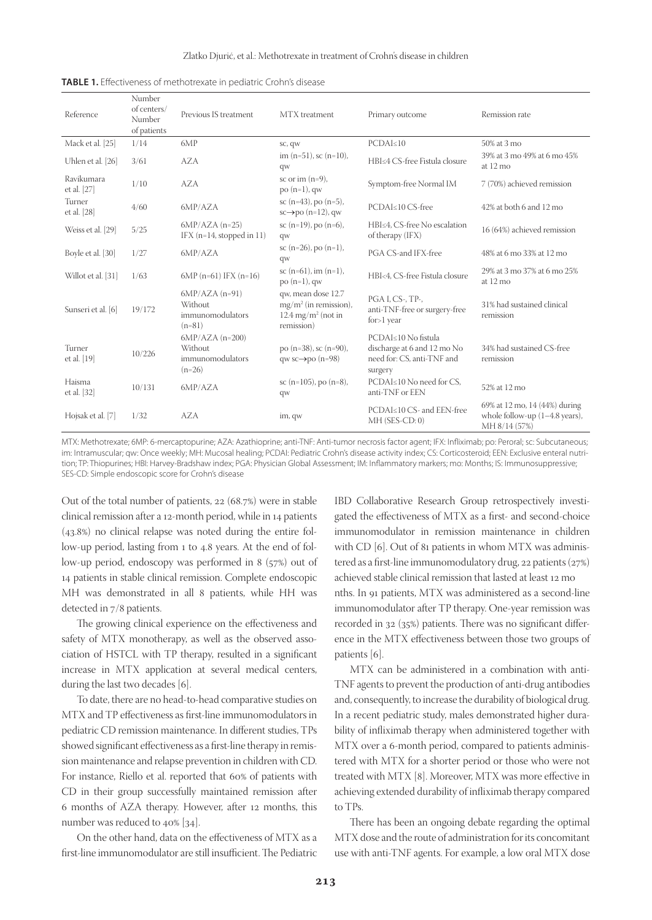| Reference                 | Number<br>of centers/<br>Number<br>of patients | Previous IS treatment                                        | MTX treatment                                                                                 | Primary outcome                                                                             | Remission rate                                                                     |
|---------------------------|------------------------------------------------|--------------------------------------------------------------|-----------------------------------------------------------------------------------------------|---------------------------------------------------------------------------------------------|------------------------------------------------------------------------------------|
| Mack et al. [25]          | 1/14                                           | 6MP                                                          | SC, QW                                                                                        | $PCDAI \leq 10$                                                                             | 50% at 3 mo                                                                        |
| Uhlen et al. [26]         | 3/61                                           | <b>AZA</b>                                                   | im $(n=51)$ , sc $(n=10)$ ,<br>qw                                                             | HBI≤4 CS-free Fistula closure                                                               | 39% at 3 mo 49% at 6 mo 45%<br>at 12 mo                                            |
| Ravikumara<br>et al. [27] | 1/10                                           | <b>AZA</b>                                                   | sc or im $(n=9)$ ,<br>$po(n=1)$ , qw                                                          | Symptom-free Normal IM                                                                      | 7 (70%) achieved remission                                                         |
| Turner<br>et al. [28]     | 4/60                                           | 6MP/AZA                                                      | sc $(n=43)$ , po $(n=5)$ ,<br>$sc \rightarrow po$ (n=12), qw                                  | PCDAI≤10 CS-free                                                                            | 42% at both 6 and 12 mo                                                            |
| Weiss et al. [29]         | 5/25                                           | $6MP/AZA (n=25)$<br>IFX $(n=14, stopped in 11)$              | sc $(n=19)$ , po $(n=6)$ ,<br>qw                                                              | HBI≤4. CS-free No escalation<br>of therapy (IFX)                                            | 16 (64%) achieved remission                                                        |
| Boyle et al. [30]         | 1/27                                           | 6MP/AZA                                                      | sc $(n=26)$ , po $(n=1)$ ,<br>qw                                                              | PGA CS-and IFX-free                                                                         | 48% at 6 mo 33% at 12 mo                                                           |
| Willot et al. [31]        | 1/63                                           | $6MP (n=61) IFX (n=16)$                                      | sc $(n=61)$ , im $(n=1)$ ,<br>$po(n=1)$ , qw                                                  | HBI<4, CS-free Fistula closure                                                              | 29% at 3 mo 37% at 6 mo 25%<br>at 12 mo                                            |
| Sunseri et al. [6]        | 19/172                                         | $6MP/AZA (n=91)$<br>Without<br>immunomodulators<br>$(n=81)$  | qw, mean dose 12.7<br>$mg/m^2$ (in remission),<br>$12.4 \text{ mg/m}^2$ (not in<br>remission) | PGA I, CS-, TP-,<br>anti-TNF-free or surgery-free<br>$for>1$ year                           | 31% had sustained clinical<br>remission                                            |
| Turner<br>et al. [19]     | 10/226                                         | $6MP/AZA (n=200)$<br>Without<br>immunomodulators<br>$(n=26)$ | po $(n=38)$ , sc $(n=90)$ ,<br>qw sc $\rightarrow$ po (n=98)                                  | PCDAI<10 No fistula<br>discharge at 6 and 12 mo No<br>need for: CS, anti-TNF and<br>surgery | 34% had sustained CS-free<br>remission                                             |
| Haisma<br>et al. [32]     | 10/131                                         | 6MP/AZA                                                      | sc (n=105), po (n=8),<br>qw                                                                   | PCDAI≤10 No need for CS,<br>anti-TNF or EEN                                                 | 52% at 12 mo                                                                       |
| Hojsak et al. [7]         | 1/32                                           | <b>AZA</b>                                                   | im, qw                                                                                        | PCDAI≤10 CS- and EEN-free<br>$MH$ (SES-CD: 0)                                               | 69% at 12 mo, 14 (44%) during<br>whole follow-up $(1-4.8$ years),<br>MH 8/14 (57%) |

**TABLE 1.** Effectiveness of methotrexate in pediatric Crohn's disease

MTX: Methotrexate; 6MP: 6-mercaptopurine; AZA: Azathioprine; anti-TNF: Anti-tumor necrosis factor agent; IFX: Infliximab; po: Peroral; sc: Subcutaneous; im: Intramuscular; qw: Once weekly; MH: Mucosal healing; PCDAI: Pediatric Crohn's disease activity index; CS: Corticosteroid; EEN: Exclusive enteral nutrition; TP: Thiopurines; HBI: Harvey-Bradshaw index; PGA: Physician Global Assessment; IM: Inflammatory markers; mo: Months; IS: Immunosuppressive; SES-CD: Simple endoscopic score for Crohn's disease

Out of the total number of patients, 22 (68.7%) were in stable clinical remission after a 12-month period, while in 14 patients (43.8%) no clinical relapse was noted during the entire follow-up period, lasting from 1 to 4.8 years. At the end of follow-up period, endoscopy was performed in 8 (57%) out of 14 patients in stable clinical remission. Complete endoscopic MH was demonstrated in all 8 patients, while HH was detected in 7/8 patients.

The growing clinical experience on the effectiveness and safety of MTX monotherapy, as well as the observed association of HSTCL with TP therapy, resulted in a significant increase in MTX application at several medical centers, during the last two decades [6].

To date, there are no head-to-head comparative studies on MTX and TP effectiveness as first-line immunomodulators in pediatric CD remission maintenance. In different studies, TPs showed significant effectiveness as a first-line therapy in remission maintenance and relapse prevention in children with CD. For instance, Riello et al. reported that 60% of patients with CD in their group successfully maintained remission after 6 months of AZA therapy. However, after 12 months, this number was reduced to 40% [34].

On the other hand, data on the effectiveness of MTX as a first-line immunomodulator are still insufficient. The Pediatric

IBD Collaborative Research Group retrospectively investigated the effectiveness of MTX as a first- and second-choice immunomodulator in remission maintenance in children with CD [6]. Out of 81 patients in whom MTX was administered as a first-line immunomodulatory drug, 22 patients (27%) achieved stable clinical remission that lasted at least 12 mo nths. In 91 patients, MTX was administered as a second-line immunomodulator after TP therapy. One-year remission was recorded in 32 (35%) patients. There was no significant difference in the MTX effectiveness between those two groups of patients [6].

MTX can be administered in a combination with anti-TNF agents to prevent the production of anti-drug antibodies and, consequently, to increase the durability of biological drug. In a recent pediatric study, males demonstrated higher durability of infliximab therapy when administered together with MTX over a 6-month period, compared to patients administered with MTX for a shorter period or those who were not treated with MTX [8]. Moreover, MTX was more effective in achieving extended durability of infliximab therapy compared to TPs.

There has been an ongoing debate regarding the optimal MTX dose and the route of administration for its concomitant use with anti-TNF agents. For example, a low oral MTX dose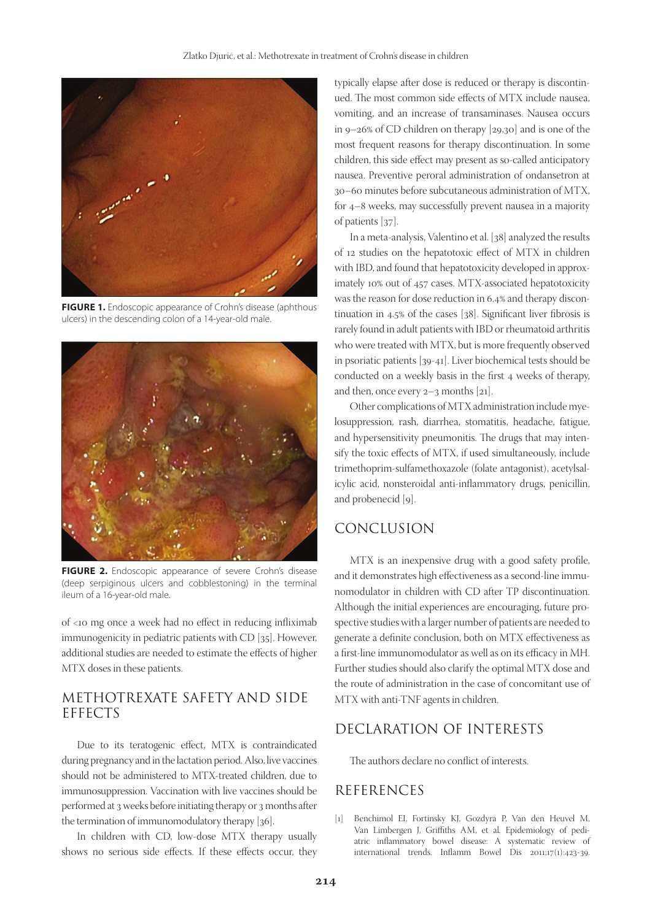

**FIGURE 1.** Endoscopic appearance of Crohn's disease (aphthous ulcers) in the descending colon of a 14-year-old male.



**FIGURE 2.** Endoscopic appearance of severe Crohn's disease (deep serpiginous ulcers and cobblestoning) in the terminal ileum of a 16-year-old male.

of <10 mg once a week had no effect in reducing infliximab immunogenicity in pediatric patients with CD [35]. However, additional studies are needed to estimate the effects of higher MTX doses in these patients.

# METHOTREXATE SAFETY AND SIDE EFFECTS

Due to its teratogenic effect, MTX is contraindicated during pregnancy and in the lactation period. Also, live vaccines should not be administered to MTX-treated children, due to immunosuppression. Vaccination with live vaccines should be performed at 3 weeks before initiating therapy or 3 months after the termination of immunomodulatory therapy [36].

In children with CD, low-dose MTX therapy usually shows no serious side effects. If these effects occur, they

typically elapse after dose is reduced or therapy is discontinued. The most common side effects of MTX include nausea, vomiting, and an increase of transaminases. Nausea occurs in 9–26% of CD children on therapy [29,30] and is one of the most frequent reasons for therapy discontinuation. In some children, this side effect may present as so-called anticipatory nausea. Preventive peroral administration of ondansetron at 30–60 minutes before subcutaneous administration of MTX, for 4–8 weeks, may successfully prevent nausea in a majority of patients [37].

In a meta-analysis, Valentino et al. [38] analyzed the results of 12 studies on the hepatotoxic effect of MTX in children with IBD, and found that hepatotoxicity developed in approximately 10% out of 457 cases. MTX-associated hepatotoxicity was the reason for dose reduction in 6.4% and therapy discontinuation in 4.5% of the cases [38]. Significant liver fibrosis is rarely found in adult patients with IBD or rheumatoid arthritis who were treated with MTX, but is more frequently observed in psoriatic patients [39-41]. Liver biochemical tests should be conducted on a weekly basis in the first 4 weeks of therapy, and then, once every 2–3 months [21].

Other complications of MTX administration include myelosuppression, rash, diarrhea, stomatitis, headache, fatigue, and hypersensitivity pneumonitis. The drugs that may intensify the toxic effects of MTX, if used simultaneously, include trimethoprim-sulfamethoxazole (folate antagonist), acetylsalicylic acid, nonsteroidal anti-inflammatory drugs, penicillin, and probenecid [9].

#### CONCLUSION

MTX is an inexpensive drug with a good safety profile, and it demonstrates high effectiveness as a second-line immunomodulator in children with CD after TP discontinuation. Although the initial experiences are encouraging, future prospective studies with a larger number of patients are needed to generate a definite conclusion, both on MTX effectiveness as a first-line immunomodulator as well as on its efficacy in MH. Further studies should also clarify the optimal MTX dose and the route of administration in the case of concomitant use of MTX with anti-TNF agents in children.

### DECLARATION OF INTERESTS

The authors declare no conflict of interests.

### REFERENCES

[1] Benchimol EI, Fortinsky KJ, Gozdyra P, Van den Heuvel M, Van Limbergen J, Griffiths AM, et al*.* Epidemiology of pediatric inflammatory bowel disease: A systematic review of international trends. Inflamm Bowel Dis 2011;17(1):423-39.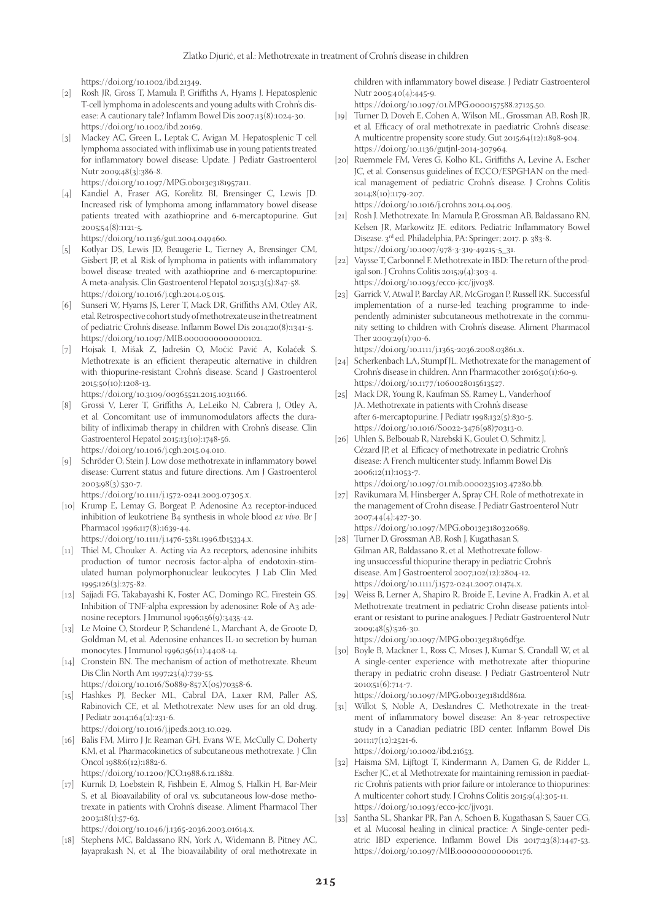https://doi.org/10.1002/ibd.21349.

- [2] Rosh JR, Gross T, Mamula P, Griffiths A, Hyams J, Hepatosplenic T-cell lymphoma in adolescents and young adults with Crohn's disease: A cautionary tale? Inflamm Bowel Dis 2007;13(8):1024-30. https://doi.org/10.1002/ibd.20169.
- [3] Mackey AC, Green L, Leptak C, Avigan M. Hepatosplenic T cell lymphoma associated with infliximab use in young patients treated for inflammatory bowel disease: Update. J Pediatr Gastroenterol Nutr 2009;48(3):386-8. https://doi.org/10.1097/MPG.0b013e3181957a11.
- [4] Kandiel A, Fraser AG, Korelitz BI, Brensinger C, Lewis JD. Increased risk of lymphoma among inflammatory bowel disease
- patients treated with azathioprine and 6-mercaptopurine. Gut 2005;54(8):1121-5. https://doi.org/10.1136/gut.2004.049460.
- [5] Kotlyar DS, Lewis JD, Beaugerie L, Tierney A, Brensinger CM, Gisbert JP, et al*.* Risk of lymphoma in patients with inflammatory bowel disease treated with azathioprine and 6-mercaptopurine: A meta-analysis. Clin Gastroenterol Hepatol 2015;13(5):847-58. https://doi.org/10.1016/j.cgh.2014.05.015.
- [6] Sunseri W, Hyams JS, Lerer T, Mack DR, Griffiths AM, Otley AR, etal*.* Retrospective cohort study of methotrexate use in the treatment of pediatric Crohn's disease. Inflamm Bowel Dis 2014;20(8):1341-5. https://doi.org/10.1097/MIB.0000000000000102.
- [7] Hojsak I, Mišak Z, Jadrešin O, Močić Pavić A, Kolaček S. Methotrexate is an efficient therapeutic alternative in children with thiopurine-resistant Crohn's disease. Scand J Gastroenterol 2015;50(10):1208-13.

https://doi.org/10.3109/00365521.2015.1031166.

- [8] Grossi V, Lerer T, Griffiths A, LeLeiko N, Cabrera J, Otley A, et al*.* Concomitant use of immunomodulators affects the durability of infliximab therapy in children with Crohn's disease. Clin Gastroenterol Hepatol 2015;13(10):1748-56. https://doi.org/10.1016/j.cgh.2015.04.010.
- [9] Schröder O, Stein J. Low dose methotrexate in inflammatory bowel disease: Current status and future directions. Am J Gastroenterol 2003;98(3):530-7.

https://doi.org/10.1111/j.1572-0241.2003.07305.x.

[10] Krump E, Lemay G, Borgeat P. Adenosine A2 receptor-induced inhibition of leukotriene B4 synthesis in whole blood *ex vivo*. Br J Pharmacol 1996;117(8):1639-44.

https://doi.org/10.1111/j.1476-5381.1996.tb15334.x.

- [11] Thiel M, Chouker A. Acting via A2 receptors, adenosine inhibits production of tumor necrosis factor-alpha of endotoxin-stimulated human polymorphonuclear leukocytes. J Lab Clin Med 1995;126(3):275-82.
- [12] Sajjadi FG, Takabayashi K, Foster AC, Domingo RC, Firestein GS. Inhibition of TNF-alpha expression by adenosine: Role of A3 adenosine receptors. J Immunol 1996;156(9):3435-42.
- [13] Le Moine O, Stordeur P, Schandené L, Marchant A, de Groote D, Goldman M, et al*.* Adenosine enhances IL-10 secretion by human monocytes. J Immunol 1996;156(11):4408-14.
- [14] Cronstein BN. The mechanism of action of methotrexate. Rheum Dis Clin North Am 1997;23(4):739-55.

https://doi.org/10.1016/S0889-857X(05)70358-6.

[15] Hashkes PJ, Becker ML, Cabral DA, Laxer RM, Paller AS, Rabinovich CE, et al*.* Methotrexate: New uses for an old drug. J Pediatr 2014;164(2):231-6.

https://doi.org/10.1016/j.jpeds.2013.10.029.

[16] Balis FM, Mirro J Jr. Reaman GH, Evans WE, McCully C, Doherty KM, et al*.* Pharmacokinetics of subcutaneous methotrexate. J Clin Oncol 1988;6(12):1882-6.

https://doi.org/10.1200/JCO.1988.6.12.1882.

[17] Kurnik D, Loebstein R, Fishbein E, Almog S, Halkin H, Bar-Meir S, et al*.* Bioavailability of oral vs. subcutaneous low-dose methotrexate in patients with Crohn's disease. Aliment Pharmacol Ther 2003;18(1):57-63.

https://doi.org/10.1046/j.1365-2036.2003.01614.x.

[18] Stephens MC, Baldassano RN, York A, Widemann B, Pitney AC, Jayaprakash N, et al*.* The bioavailability of oral methotrexate in children with inflammatory bowel disease. J Pediatr Gastroenterol Nutr 2005;40(4):445-9.

https://doi.org/10.1097/01.MPG.0000157588.27125.50.

- [19] Turner D, Doveh E, Cohen A, Wilson ML, Grossman AB, Rosh JR, et al*.* Efficacy of oral methotrexate in paediatric Crohn's disease: A multicentre propensity score study. Gut 2015;64(12):1898-904. https://doi.org/10.1136/gutjnl-2014-307964.
- [20] Ruemmele FM, Veres G, Kolho KL, Griffiths A, Levine A, Escher JC, et al*.* Consensus guidelines of ECCO/ESPGHAN on the medical management of pediatric Crohn's disease. J Crohns Colitis 2014;8(10):1179-207. https://doi.org/10.1016/j.crohns.2014.04.005.

[21] Rosh J. Methotrexate. In: Mamula P, Grossman AB, Baldassano RN, Kelsen JR, Markowitz JE. editors. Pediatric Inflammatory Bowel Disease. 3rd ed. Philadelphia, PA: Springer; 2017. p. 383-8. https://doi.org/10.1007/978-3-319-49215-5\_31.

- [22] Vaysse T, Carbonnel F. Methotrexate in IBD: The return of the prodigal son. J Crohns Colitis 2015;9(4):303-4. https://doi.org/10.1093/ecco-jcc/jjv038.
- [23] Garrick V, Atwal P, Barclay AR, McGrogan P, Russell RK. Successful implementation of a nurse-led teaching programme to independently administer subcutaneous methotrexate in the community setting to children with Crohn's disease. Aliment Pharmacol Ther 2009;29(1):90-6.

https://doi.org/10.1111/j.1365-2036.2008.03861.x.

- [24] Scherkenbach LA, Stumpf JL. Methotrexate for the management of Crohn's disease in children. Ann Pharmacother 2016;50(1):60-9. https://doi.org/10.1177/1060028015613527.
- [25] Mack DR, Young R, Kaufman SS, Ramey L, Vanderhoof JA. Methotrexate in patients with Crohn's disease after 6-mercaptopurine. J Pediatr 1998;132(5):830-5. https://doi.org/10.1016/S0022-3476(98)70313-0.
- [26] Uhlen S, Belbouab R, Narebski K, Goulet O, Schmitz J, Cézard JP, et al*.* Efficacy of methotrexate in pediatric Crohn's disease: A French multicenter study. Inflamm Bowel Dis 2006;12(11):1053-7. https://doi.org/10.1097/01.mib.0000235103.47280.bb.
- [27] Ravikumara M, Hinsberger A, Spray CH. Role of methotrexate in the management of Crohn disease. J Pediatr Gastroenterol Nutr 2007;44(4):427-30.

https://doi.org/10.1097/MPG.0b013e3180320689.

- [28] Turner D, Grossman AB, Rosh J, Kugathasan S, Gilman AR, Baldassano R, et al*.* Methotrexate following unsuccessful thiopurine therapy in pediatric Crohn's disease. Am J Gastroenterol 2007;102(12):2804-12. https://doi.org/10.1111/j.1572-0241.2007.01474.x.
- [29] Weiss B, Lerner A, Shapiro R, Broide E, Levine A, Fradkin A, et al*.* Methotrexate treatment in pediatric Crohn disease patients intolerant or resistant to purine analogues. J Pediatr Gastroenterol Nutr 2009;48(5):526-30.

https://doi.org/10.1097/MPG.0b013e318196df3e.

[30] Boyle B, Mackner L, Ross C, Moses J, Kumar S, Crandall W, et al*.*  A single-center experience with methotrexate after thiopurine therapy in pediatric crohn disease. J Pediatr Gastroenterol Nutr 2010;51(6):714-7.

https://doi.org/10.1097/MPG.0b013e3181dd861a.

[31] Willot S, Noble A, Deslandres C. Methotrexate in the treatment of inflammatory bowel disease: An 8-year retrospective study in a Canadian pediatric IBD center. Inflamm Bowel Dis 2011;17(12):2521-6.

https://doi.org/10.1002/ibd.21653.

- [32] Haisma SM, Lijftogt T, Kindermann A, Damen G, de Ridder L, Escher JC, et al*.* Methotrexate for maintaining remission in paediatric Crohn's patients with prior failure or intolerance to thiopurines: A multicenter cohort study. J Crohns Colitis 2015;9(4):305-11. https://doi.org/10.1093/ecco-jcc/jjv031.
- [33] Santha SL, Shankar PR, Pan A, Schoen B, Kugathasan S, Sauer CG, et al*.* Mucosal healing in clinical practice: A Single-center pediatric IBD experience. Inflamm Bowel Dis 2017;23(8):1447-53. https://doi.org/10.1097/MIB.0000000000001176.